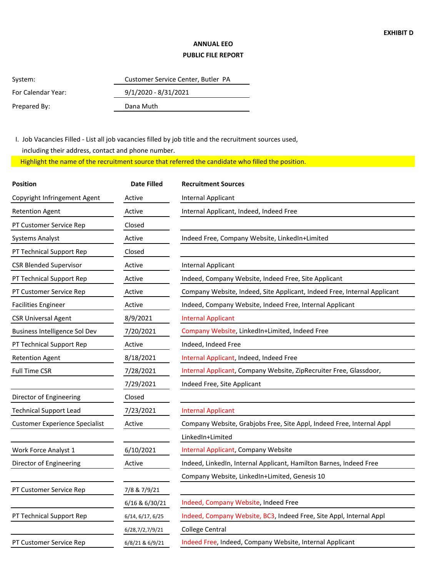## **ANNUAL EEO PUBLIC FILE REPORT**

| System:            | Customer Service Center, Butler PA |  |
|--------------------|------------------------------------|--|
| For Calendar Year: | $9/1/2020 - 8/31/2021$             |  |
| Prepared By:       | Dana Muth                          |  |
|                    |                                    |  |

 I. Job Vacancies Filled - List all job vacancies filled by job title and the recruitment sources used, including their address, contact and phone number.

Highlight the name of the recruitment source that referred the candidate who filled the position.

| Position                              | <b>Date Filled</b> | <b>Recruitment Sources</b>                                               |  |
|---------------------------------------|--------------------|--------------------------------------------------------------------------|--|
| Copyright Infringement Agent          | Active             | Internal Applicant                                                       |  |
| <b>Retention Agent</b>                | Active             | Internal Applicant, Indeed, Indeed Free                                  |  |
| PT Customer Service Rep               | Closed             |                                                                          |  |
| <b>Systems Analyst</b>                | Active             | Indeed Free, Company Website, LinkedIn+Limited                           |  |
| PT Technical Support Rep              | Closed             |                                                                          |  |
| <b>CSR Blended Supervisor</b>         | Active             | Internal Applicant                                                       |  |
| PT Technical Support Rep              | Active             | Indeed, Company Website, Indeed Free, Site Applicant                     |  |
| PT Customer Service Rep               | Active             | Company Website, Indeed, Site Applicant, Indeed Free, Internal Applicant |  |
| <b>Facilities Engineer</b>            | Active             | Indeed, Company Website, Indeed Free, Internal Applicant                 |  |
| <b>CSR Universal Agent</b>            | 8/9/2021           | <b>Internal Applicant</b>                                                |  |
| Business Intelligence Sol Dev         | 7/20/2021          | Company Website, LinkedIn+Limited, Indeed Free                           |  |
| PT Technical Support Rep              | Active             | Indeed, Indeed Free                                                      |  |
| <b>Retention Agent</b>                | 8/18/2021          | Internal Applicant, Indeed, Indeed Free                                  |  |
| <b>Full Time CSR</b>                  | 7/28/2021          | Internal Applicant, Company Website, ZipRecruiter Free, Glassdoor,       |  |
|                                       | 7/29/2021          | Indeed Free, Site Applicant                                              |  |
| Director of Engineering               | Closed             |                                                                          |  |
| <b>Technical Support Lead</b>         | 7/23/2021          | <b>Internal Applicant</b>                                                |  |
| <b>Customer Experience Specialist</b> | Active             | Company Website, Grabjobs Free, Site Appl, Indeed Free, Internal Appl    |  |
|                                       |                    | LinkedIn+Limited                                                         |  |
| Work Force Analyst 1                  | 6/10/2021          | Internal Applicant, Company Website                                      |  |
| Director of Engineering               | Active             | Indeed, LinkedIn, Internal Applicant, Hamilton Barnes, Indeed Free       |  |
|                                       |                    | Company Website, LinkedIn+Limited, Genesis 10                            |  |
| PT Customer Service Rep               | 7/8 & 7/9/21       |                                                                          |  |
|                                       | 6/16 & 6/30/21     | Indeed, Company Website, Indeed Free                                     |  |
| PT Technical Support Rep              | 6/14, 6/17, 6/25   | Indeed, Company Website, BC3, Indeed Free, Site Appl, Internal Appl      |  |
|                                       | 6/28,7/2,7/9/21    | <b>College Central</b>                                                   |  |
| PT Customer Service Rep               | 6/8/21 & 6/9/21    | Indeed Free, Indeed, Company Website, Internal Applicant                 |  |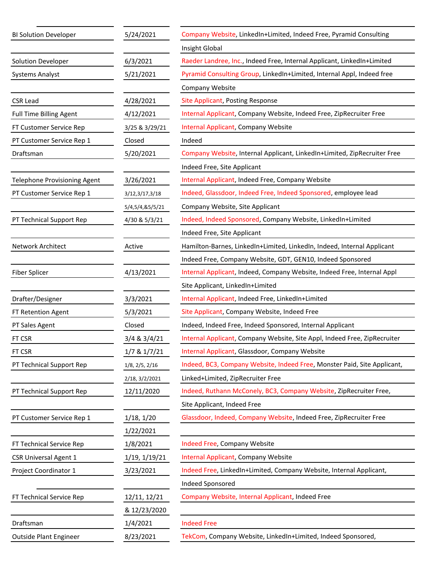| <b>BI Solution Developer</b> | 5/24/2021              | Company Website, LinkedIn+Limited, Indeed Free, Pyramid Consulting        |  |
|------------------------------|------------------------|---------------------------------------------------------------------------|--|
|                              |                        | Insight Global                                                            |  |
| Solution Developer           | 6/3/2021               | Raeder Landree, Inc., Indeed Free, Internal Applicant, LinkedIn+Limited   |  |
| <b>Systems Analyst</b>       | 5/21/2021              | Pyramid Consulting Group, LinkedIn+Limited, Internal Appl, Indeed free    |  |
|                              |                        | Company Website                                                           |  |
| <b>CSR Lead</b>              | 4/28/2021              | <b>Site Applicant, Posting Response</b>                                   |  |
| Full Time Billing Agent      | 4/12/2021              | Internal Applicant, Company Website, Indeed Free, ZipRecruiter Free       |  |
| FT Customer Service Rep      | 3/25 & 3/29/21         | Internal Applicant, Company Website                                       |  |
| PT Customer Service Rep 1    | Closed                 | Indeed                                                                    |  |
| Draftsman                    | 5/20/2021              | Company Website, Internal Applicant, LinkedIn+Limited, ZipRecruiter Free  |  |
|                              |                        | Indeed Free, Site Applicant                                               |  |
| Telephone Provisioning Agent | 3/26/2021              | Internal Applicant, Indeed Free, Company Website                          |  |
| PT Customer Service Rep 1    | 3/12,3/17,3/18         | Indeed, Glassdoor, Indeed Free, Indeed Sponsored, employee lead           |  |
|                              | 5/4,5/4,&5/5/21        | Company Website, Site Applicant                                           |  |
| PT Technical Support Rep     | 4/30 & 5/3/21          | Indeed, Indeed Sponsored, Company Website, LinkedIn+Limited               |  |
|                              |                        | Indeed Free, Site Applicant                                               |  |
| Network Architect            | Active                 | Hamilton-Barnes, LinkedIn+Limited, LinkedIn, Indeed, Internal Applicant   |  |
|                              |                        | Indeed Free, Company Website, GDT, GEN10, Indeed Sponsored                |  |
| Fiber Splicer                | 4/13/2021              | Internal Applicant, Indeed, Company Website, Indeed Free, Internal Appl   |  |
|                              |                        | Site Applicant, LinkedIn+Limited                                          |  |
| Drafter/Designer             | 3/3/2021               | Internal Applicant, Indeed Free, LinkedIn+Limited                         |  |
| FT Retention Agent           | 5/3/2021               | Site Applicant, Company Website, Indeed Free                              |  |
| PT Sales Agent               | Closed                 | Indeed, Indeed Free, Indeed Sponsored, Internal Applicant                 |  |
| FT CSR                       | 3/4 & 3/4/21           | Internal Applicant, Company Website, Site Appl, Indeed Free, ZipRecruiter |  |
| FT CSR                       | 1/7 & 1/7/21           | Internal Applicant, Glassdoor, Company Website                            |  |
| PT Technical Support Rep     | $1/8$ , $2/5$ , $2/16$ | Indeed, BC3, Company Website, Indeed Free, Monster Paid, Site Applicant,  |  |
|                              | 2/18, 3/2/2021         | Linked+Limited, ZipRecruiter Free                                         |  |
| PT Technical Support Rep     | 12/11/2020             | Indeed, Ruthann McConely, BC3, Company Website, ZipRecruiter Free,        |  |
|                              |                        | Site Applicant, Indeed Free                                               |  |
| PT Customer Service Rep 1    | 1/18, 1/20             | Glassdoor, Indeed, Company Website, Indeed Free, ZipRecruiter Free        |  |
|                              | 1/22/2021              |                                                                           |  |
| FT Technical Service Rep     | 1/8/2021               | Indeed Free, Company Website                                              |  |
| <b>CSR Universal Agent 1</b> | 1/19, 1/19/21          | Internal Applicant, Company Website                                       |  |
| Project Coordinator 1        | 3/23/2021              | Indeed Free, LinkedIn+Limited, Company Website, Internal Applicant,       |  |
|                              |                        | Indeed Sponsored                                                          |  |
| FT Technical Service Rep     | 12/11, 12/21           | Company Website, Internal Applicant, Indeed Free                          |  |
|                              | & 12/23/2020           |                                                                           |  |
| Draftsman                    | 1/4/2021               | <b>Indeed Free</b>                                                        |  |
| Outside Plant Engineer       | 8/23/2021              | TekCom, Company Website, LinkedIn+Limited, Indeed Sponsored,              |  |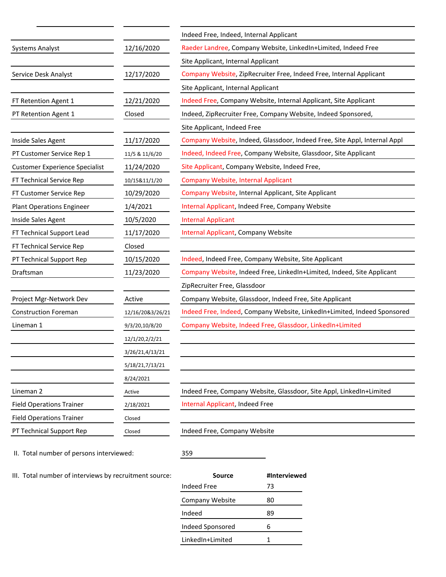|                                       |                  | Indeed Free, Indeed, Internal Applicant                                   |  |
|---------------------------------------|------------------|---------------------------------------------------------------------------|--|
| <b>Systems Analyst</b>                | 12/16/2020       | Raeder Landree, Company Website, LinkedIn+Limited, Indeed Free            |  |
|                                       |                  | Site Applicant, Internal Applicant                                        |  |
| Service Desk Analyst                  | 12/17/2020       | Company Website, ZipRecruiter Free, Indeed Free, Internal Applicant       |  |
|                                       |                  | Site Applicant, Internal Applicant                                        |  |
| FT Retention Agent 1                  | 12/21/2020       | Indeed Free, Company Website, Internal Applicant, Site Applicant          |  |
| PT Retention Agent 1                  | Closed           | Indeed, ZipRecruiter Free, Company Website, Indeed Sponsored,             |  |
|                                       |                  | Site Applicant, Indeed Free                                               |  |
| Inside Sales Agent                    | 11/17/2020       | Company Website, Indeed, Glassdoor, Indeed Free, Site Appl, Internal Appl |  |
| PT Customer Service Rep 1             | 11/5 & 11/6/20   | Indeed, Indeed Free, Company Website, Glassdoor, Site Applicant           |  |
| <b>Customer Experience Specialist</b> | 11/24/2020       | Site Applicant, Company Website, Indeed Free,                             |  |
| FT Technical Service Rep              | 10/15&11/1/20    | Company Website, Internal Applicant                                       |  |
| FT Customer Service Rep               | 10/29/2020       | Company Website, Internal Applicant, Site Applicant                       |  |
| <b>Plant Operations Engineer</b>      | 1/4/2021         | Internal Applicant, Indeed Free, Company Website                          |  |
| Inside Sales Agent                    | 10/5/2020        | <b>Internal Applicant</b>                                                 |  |
| FT Technical Support Lead             | 11/17/2020       | Internal Applicant, Company Website                                       |  |
| FT Technical Service Rep              | Closed           |                                                                           |  |
| PT Technical Support Rep              | 10/15/2020       | Indeed, Indeed Free, Company Website, Site Applicant                      |  |
| Draftsman                             | 11/23/2020       | Company Website, Indeed Free, LinkedIn+Limited, Indeed, Site Applicant    |  |
|                                       |                  | ZipRecruiter Free, Glassdoor                                              |  |
| Project Mgr-Network Dev               | Active           | Company Website, Glassdoor, Indeed Free, Site Applicant                   |  |
| <b>Construction Foreman</b>           | 12/16/20&3/26/21 | Indeed Free, Indeed, Company Website, LinkedIn+Limited, Indeed Sponsored  |  |
| Lineman 1                             | 9/3/20,10/8/20   | Company Website, Indeed Free, Glassdoor, LinkedIn+Limited                 |  |
|                                       | 12/1/20,2/2/21   |                                                                           |  |
|                                       | 3/26/21,4/13/21  |                                                                           |  |
|                                       | 5/18/21,7/13/21  |                                                                           |  |
|                                       | 8/24/2021        |                                                                           |  |
| Lineman 2                             | Active           | Indeed Free, Company Website, Glassdoor, Site Appl, LinkedIn+Limited      |  |
| <b>Field Operations Trainer</b>       | 2/18/2021        | Internal Applicant, Indeed Free                                           |  |
| <b>Field Operations Trainer</b>       | Closed           |                                                                           |  |
| PT Technical Support Rep              | Closed           | Indeed Free, Company Website                                              |  |
|                                       |                  |                                                                           |  |

II. Total number of persons interviewed:

359

III. Total number of interviews by recruitment source: **Source #Interviewed**

| Source           | #Interviewed |
|------------------|--------------|
| Indeed Free      | 73           |
| Company Website  | 80           |
| Indeed           | 89           |
| Indeed Sponsored | 6            |
| LinkedIn+Limited |              |